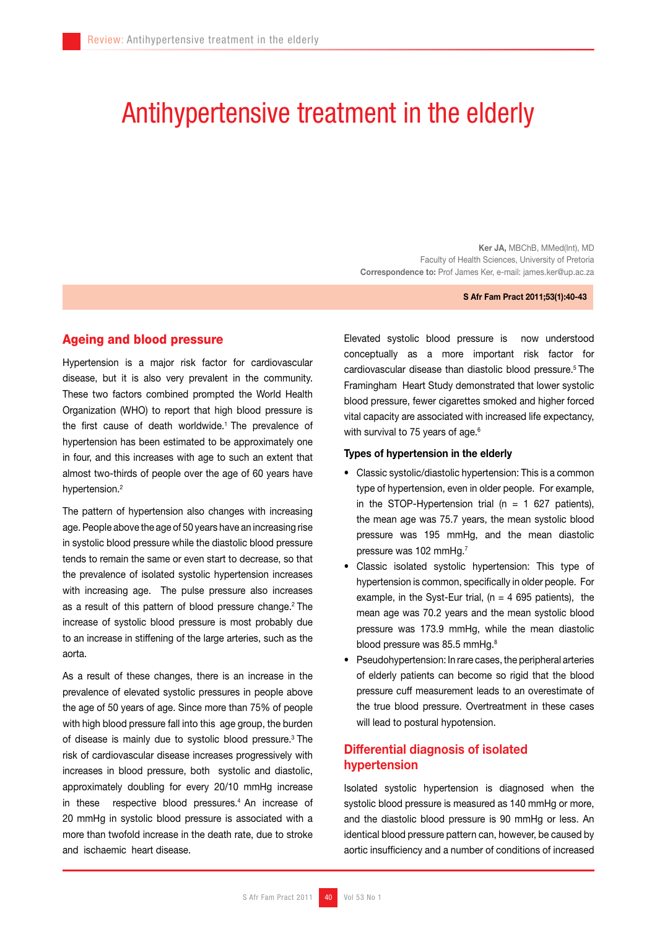# Antihypertensive treatment in the elderly

Ker JA, MBChB, MMed(Int), MD Faculty of Health Sciences, University of Pretoria Correspondence to: Prof James Ker, e-mail: james.ker@up.ac.za

#### S Afr Fam Pract 2011;53(1):40-43

## Ageing and blood pressure

Hypertension is a major risk factor for cardiovascular disease, but it is also very prevalent in the community. These two factors combined prompted the World Health Organization (WHO) to report that high blood pressure is the first cause of death worldwide.<sup>1</sup> The prevalence of hypertension has been estimated to be approximately one in four, and this increases with age to such an extent that almost two-thirds of people over the age of 60 years have hypertension.<sup>2</sup>

The pattern of hypertension also changes with increasing age. People above the age of 50 years have an increasing rise in systolic blood pressure while the diastolic blood pressure tends to remain the same or even start to decrease, so that the prevalence of isolated systolic hypertension increases with increasing age. The pulse pressure also increases as a result of this pattern of blood pressure change.<sup>2</sup> The increase of systolic blood pressure is most probably due to an increase in stiffening of the large arteries, such as the aorta.

As a result of these changes, there is an increase in the prevalence of elevated systolic pressures in people above the age of 50 years of age. Since more than 75% of people with high blood pressure fall into this age group, the burden of disease is mainly due to systolic blood pressure.3 The risk of cardiovascular disease increases progressively with increases in blood pressure, both systolic and diastolic, approximately doubling for every 20/10 mmHg increase in these respective blood pressures.<sup>4</sup> An increase of 20 mmHg in systolic blood pressure is associated with a more than twofold increase in the death rate, due to stroke and ischaemic heart disease.

Elevated systolic blood pressure is now understood conceptually as a more important risk factor for cardiovascular disease than diastolic blood pressure.5 The Framingham Heart Study demonstrated that lower systolic blood pressure, fewer cigarettes smoked and higher forced vital capacity are associated with increased life expectancy, with survival to 75 years of age.<sup>6</sup>

#### Types of hypertension in the elderly

- Classic systolic/diastolic hypertension: This is a common type of hypertension, even in older people. For example, in the STOP-Hypertension trial ( $n = 1$  627 patients), the mean age was 75.7 years, the mean systolic blood pressure was 195 mmHg, and the mean diastolic pressure was 102 mmHg.7
- Classic isolated systolic hypertension: This type of hypertension is common, specifically in older people. For example, in the Syst-Eur trial, ( $n = 4695$  patients), the mean age was 70.2 years and the mean systolic blood pressure was 173.9 mmHg, while the mean diastolic blood pressure was 85.5 mmHg.<sup>8</sup>
- Pseudohypertension: In rare cases, the peripheral arteries of elderly patients can become so rigid that the blood pressure cuff measurement leads to an overestimate of the true blood pressure. Overtreatment in these cases will lead to postural hypotension.

# Differential diagnosis of isolated hypertension

Isolated systolic hypertension is diagnosed when the systolic blood pressure is measured as 140 mmHg or more, and the diastolic blood pressure is 90 mmHg or less. An identical blood pressure pattern can, however, be caused by aortic insufficiency and a number of conditions of increased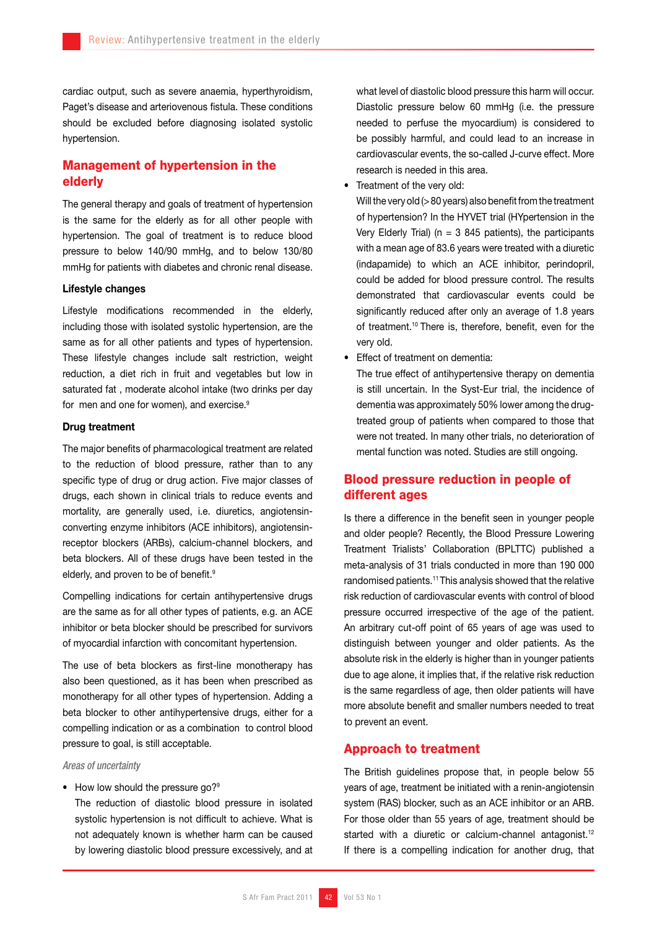cardiac output, such as severe anaemia, hyperthyroidism, Paget's disease and arteriovenous fistula. These conditions should be excluded before diagnosing isolated systolic hypertension.

# Management of hypertension in the elderly

The general therapy and goals of treatment of hypertension is the same for the elderly as for all other people with hypertension. The goal of treatment is to reduce blood pressure to below 140/90 mmHg, and to below 130/80 mmHg for patients with diabetes and chronic renal disease.

### Lifestyle changes

Lifestyle modifications recommended in the elderly, including those with isolated systolic hypertension, are the same as for all other patients and types of hypertension. These lifestyle changes include salt restriction, weight reduction, a diet rich in fruit and vegetables but low in saturated fat , moderate alcohol intake (two drinks per day for men and one for women), and exercise.<sup>9</sup>

#### Drug treatment

The major benefits of pharmacological treatment are related to the reduction of blood pressure, rather than to any specific type of drug or drug action. Five major classes of drugs, each shown in clinical trials to reduce events and mortality, are generally used, i.e. diuretics, angiotensinconverting enzyme inhibitors (ACE inhibitors), angiotensinreceptor blockers (ARBs), calcium-channel blockers, and beta blockers. All of these drugs have been tested in the elderly, and proven to be of benefit.<sup>9</sup>

Compelling indications for certain antihypertensive drugs are the same as for all other types of patients, e.g. an ACE inhibitor or beta blocker should be prescribed for survivors of myocardial infarction with concomitant hypertension.

The use of beta blockers as first-line monotherapy has also been questioned, as it has been when prescribed as monotherapy for all other types of hypertension. Adding a beta blocker to other antihypertensive drugs, either for a compelling indication or as a combination to control blood pressure to goal, is still acceptable.

#### *Areas of uncertainty*

#### • How low should the pressure go?<sup>9</sup>

The reduction of diastolic blood pressure in isolated systolic hypertension is not difficult to achieve. What is not adequately known is whether harm can be caused by lowering diastolic blood pressure excessively, and at what level of diastolic blood pressure this harm will occur. Diastolic pressure below 60 mmHg (i.e. the pressure needed to perfuse the myocardium) is considered to be possibly harmful, and could lead to an increase in cardiovascular events, the so-called J-curve effect. More research is needed in this area.

Treatment of the very old:

Will the very old (> 80 years) also benefit from the treatment of hypertension? In the HYVET trial (HYpertension in the Very Elderly Trial) ( $n = 3$  845 patients), the participants with a mean age of 83.6 years were treated with a diuretic (indapamide) to which an ACE inhibitor, perindopril, could be added for blood pressure control. The results demonstrated that cardiovascular events could be significantly reduced after only an average of 1.8 years of treatment.10 There is, therefore, benefit, even for the very old.

• Effect of treatment on dementia:

The true effect of antihypertensive therapy on dementia is still uncertain. In the Syst-Eur trial, the incidence of dementia was approximately 50% lower among the drugtreated group of patients when compared to those that were not treated. In many other trials, no deterioration of mental function was noted. Studies are still ongoing.

# Blood pressure reduction in people of different ages

Is there a difference in the benefit seen in younger people and older people? Recently, the Blood Pressure Lowering Treatment Trialists' Collaboration (BPLTTC) published a meta-analysis of 31 trials conducted in more than 190 000 randomised patients.<sup>11</sup> This analysis showed that the relative risk reduction of cardiovascular events with control of blood pressure occurred irrespective of the age of the patient. An arbitrary cut-off point of 65 years of age was used to distinguish between younger and older patients. As the absolute risk in the elderly is higher than in younger patients due to age alone, it implies that, if the relative risk reduction is the same regardless of age, then older patients will have more absolute benefit and smaller numbers needed to treat to prevent an event.

## Approach to treatment

The British guidelines propose that, in people below 55 years of age, treatment be initiated with a renin-angiotensin system (RAS) blocker, such as an ACE inhibitor or an ARB. For those older than 55 years of age, treatment should be started with a diuretic or calcium-channel antagonist.<sup>12</sup> If there is a compelling indication for another drug, that